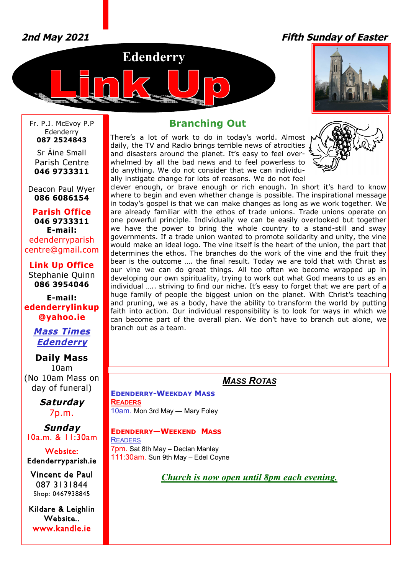# *2nd May 2021 Fifth Sunday of Easter*





Fr. P.J. McEvoy P.P Edenderry **087 2524843**

Sr Áine Small Parish Centre **046 9733311**

Deacon Paul Wyer **086 6086154**

**Parish Office 046 9733311 E-mail:** edenderryparish [centre@gmail.com](mailto:centre@gmail.com)

**Link Up Office** Stephanie Quinn **086 3954046**

**E-mail: edenderrylinkup [@yahoo.ie](mailto:@yahoo.ie)**

# *Mass Times Edenderry*

**Daily Mass** 10am (No 10am Mass on day of funeral)

> *Saturday* 7p.m.

*Sunday* 10a.m. & 11:30am

**Website: Edenderryparish.ie**

**Vincent de Paul**  087 3131844 Shop: 0467938845

**Kildare & Leighlin Website.. [www.kandle.ie](http://www.kandle.ie)** 

# **Branching Out**

There's a lot of work to do in today's world. Almost daily, the TV and Radio brings terrible news of atrocities and disasters around the planet. It's easy to feel overwhelmed by all the bad news and to feel powerless to do anything. We do not consider that we can individually instigate change for lots of reasons. We do not feel



clever enough, or brave enough or rich enough. In short it's hard to know where to begin and even whether change is possible. The inspirational message in today's gospel is that we can make changes as long as we work together. We are already familiar with the ethos of trade unions. Trade unions operate on one powerful principle. Individually we can be easily overlooked but together we have the power to bring the whole country to a stand-still and sway governments. If a trade union wanted to promote solidarity and unity, the vine would make an ideal logo. The vine itself is the heart of the union, the part that determines the ethos. The branches do the work of the vine and the fruit they bear is the outcome …. the final result. Today we are told that with Christ as our vine we can do great things. All too often we become wrapped up in developing our own spirituality, trying to work out what God means to us as an individual ….. striving to find our niche. It's easy to forget that we are part of a huge family of people the biggest union on the planet. With Christ's teaching and pruning, we as a body, have the ability to transform the world by putting faith into action. Our individual responsibility is to look for ways in which we can become part of the overall plan. We don't have to branch out alone, we branch out as a team.

# *MASS ROTAS*

**EDENDERRY-WEEKDAY MASS READERS** 10am. Mon 3rd May — Mary Foley

## **EDENDERRY—WEEKEND MASS**

**READERS** 7pm. Sat 8th May – Declan Manley 111:30am. Sun 9th May – Edel Coyne

*Church is now open until 8pm each evening.*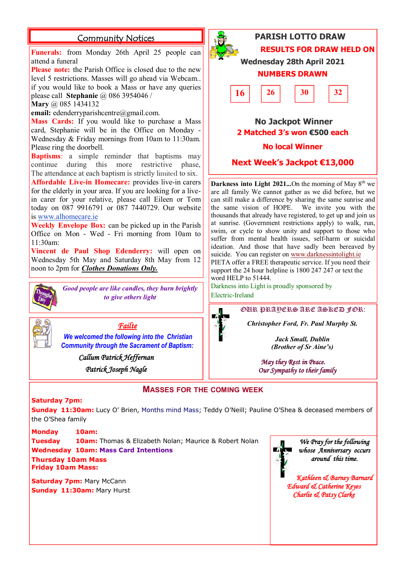## **Community Notices**

**Funerals:** from Monday 26th April 25 people can attend a funeral

**Please note:** the Parish Office is closed due to the new level 5 restrictions. Masses will go ahead via Webcam.. if you would like to book a Mass or have any queries please call **Stephanie** @ 086 3954046 /

**Mary** @ 085 1434132

**email:** [edenderryparishcentre@gmail.com.](mailto:edenderryparishcentre@gmail.com.)

**Mass Cards:** If you would like to purchase a Mass card, Stephanie will be in the Office on Monday - Wednesday & Friday mornings from 10am to 11:30am. Please ring the doorbell.

**Baptisms**: a simple reminder that baptisms may continue during this more restrictive phase, The attendance at each baptism is strictly limited to six.

**Affordable Live-in Homecare:** provides live-in carers for the elderly in your area. If you are looking for a livein carer for your relative, please call Eileen or Tom today on 087 9916791 or 087 7440729. Our website is [www.alhomecare.ie](http://www.alhomecare.ie)

**Weekly Envelope Box:** can be picked up in the Parish Office on Mon - Wed - Fri morning from 10am to 11:30am:

**Vincent de Paul Shop Edenderry:** will open on Wednesday 5th May and Saturday 8th May from 12 noon to 2pm for *Clothes Donations Only.* 



*Good people are like candles, they burn brightly to give others light*



*Failte* 

*We welcomed the following into the Christian Community through the Sacrament of Baptism:*

> *Callum Patrick Heffernan Patrick Joseph Nagle*

# **PARISH LOTTO DRAW RESULTS FOR DRAW HELD ON Wednesday 28th April 2021 NUMBERS DRAWN No Jackpot Winner 2 Matched 3's won €500 each 16**  $\begin{array}{|c|c|c|c|c|} \hline 26 & 30 & 32 \ \hline \end{array}$

### **No local Winner**

**Next Week's Jackpot €13,000**

**Darkness into Light 2021...**On the morning of May  $8^{th}$  we are all family We cannot gather as we did before, but we can still make a difference by sharing the same sunrise and<br>the same vision of HOPE. We invite you with the the same vision of HOPE. thousands that already have registered, to get up and join us at sunrise. (Government restrictions apply) to walk, run, swim, or cycle to show unity and support to those who suffer from mental health issues, self-harm or suicidal ideation. And those that have sadly been bereaved by suicide. You can register on [www.darknessintolight.ie](http://www.darknessintolight.ie) PIETA offer a FREE therapeutic service. If you need their support the 24 hour helpline is 1800 247 247 or text the word HELP to 51444.

Darkness into Light is proudly sponsored by Electric-Ireland

OUR PRAYERS ARE ASKED FOR:

*Christopher Ford, Fr. Paul Murphy St.*

*Jack Small, Dublin (Brother of Sr Aine's)*

*May they Rest in Peace. Our Sympathy to their family* 

### **MASSES FOR THE COMING WEEK**

#### **Saturday 7pm:**

**Sunday 11:30am:** Lucy O' Brien, Months mind Mass; Teddy O'Neill; Pauline O'Shea & deceased members of the O'Shea family

**Monday 10am: Tuesday 10am:** Thomas & Elizabeth Nolan; Maurice & Robert Nolan **Wednesday 10am: Mass Card Intentions**

**Thursday 10am Mass Friday 10am Mass:** 

**Saturday 7pm: Mary McCann Sunday 11:30am:** Mary Hurst



*We Pray for the following whose Anniversary occurs around this time.* 

*Kathleen & Barney Barnard Edward & Catherine Keyes Charlie & Patsy Clarke*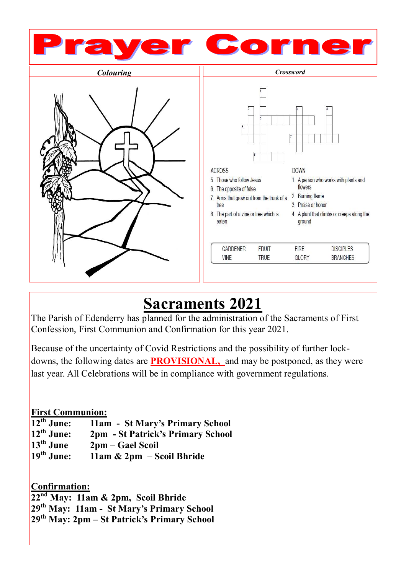

# **Sacraments 2021**

The Parish of Edenderry has planned for the administration of the Sacraments of First Confession, First Communion and Confirmation for this year 2021.

Because of the uncertainty of Covid Restrictions and the possibility of further lockdowns, the following dates are **PROVISIONAL,** and may be postponed, as they were last year. All Celebrations will be in compliance with government regulations.

# **First Communion:**

| $12th$ June: | 11am - St Mary's Primary School   |
|--------------|-----------------------------------|
| $12th$ June: | 2pm - St Patrick's Primary School |
| $13th$ June  | 2pm – Gael Scoil                  |
| $19th$ June: | $11am \& 2pm - Social Bhride$     |

**Confirmation: nd May: 11am & 2pm, Scoil Bhride th May: 11am - St Mary's Primary School th May: 2pm – St Patrick's Primary School**